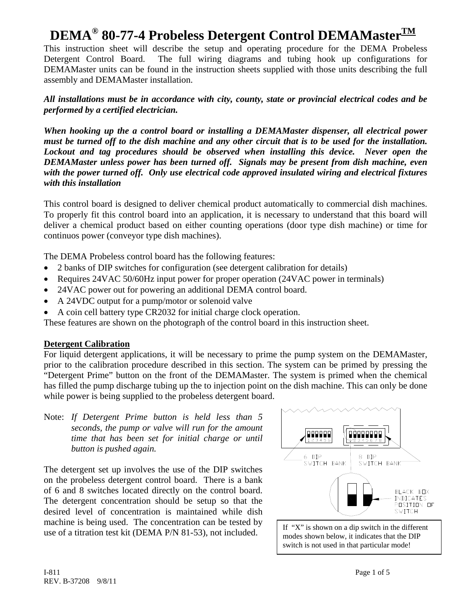This instruction sheet will describe the setup and operating procedure for the DEMA Probeless Detergent Control Board. The full wiring diagrams and tubing hook up configurations for DEMAMaster units can be found in the instruction sheets supplied with those units describing the full assembly and DEMAMaster installation.

*All installations must be in accordance with city, county, state or provincial electrical codes and be performed by a certified electrician.* 

*When hooking up the a control board or installing a DEMAMaster dispenser, all electrical power must be turned off to the dish machine and any other circuit that is to be used for the installation. Lockout and tag procedures should be observed when installing this device. Never open the DEMAMaster unless power has been turned off. Signals may be present from dish machine, even with the power turned off. Only use electrical code approved insulated wiring and electrical fixtures with this installation*

This control board is designed to deliver chemical product automatically to commercial dish machines. To properly fit this control board into an application, it is necessary to understand that this board will deliver a chemical product based on either counting operations (door type dish machine) or time for continuos power (conveyor type dish machines).

The DEMA Probeless control board has the following features:

- 2 banks of DIP switches for configuration (see detergent calibration for details)
- Requires 24VAC 50/60Hz input power for proper operation (24VAC power in terminals)
- 24VAC power out for powering an additional DEMA control board.
- A 24VDC output for a pump/motor or solenoid valve
- A coin cell battery type CR2032 for initial charge clock operation.

These features are shown on the photograph of the control board in this instruction sheet.

### **Detergent Calibration**

For liquid detergent applications, it will be necessary to prime the pump system on the DEMAMaster, prior to the calibration procedure described in this section. The system can be primed by pressing the "Detergent Prime" button on the front of the DEMAMaster. The system is primed when the chemical has filled the pump discharge tubing up the to injection point on the dish machine. This can only be done while power is being supplied to the probeless detergent board.

Note: *If Detergent Prime button is held less than 5 seconds, the pump or valve will run for the amount time that has been set for initial charge or until button is pushed again.*

The detergent set up involves the use of the DIP switches on the probeless detergent control board. There is a bank of 6 and 8 switches located directly on the control board. The detergent concentration should be setup so that the desired level of concentration is maintained while dish machine is being used. The concentration can be tested by which is the state. The concentration can be tested by  $\left\{ \begin{array}{c} \text{If "X" is shown on a dip switch in the different use of a titration test kit (DEMA P/N 81-53), not included.} \end{array} \right\}$ 



modes shown below, it indicates that the DIP switch is not used in that particular mode!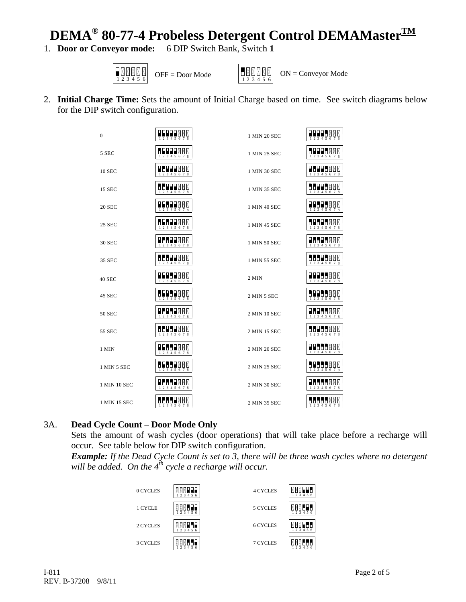# **DEMA<sup>®</sup> 80-77-4 Probeless Detergent Control DEMAMaster**<sup>TM</sup><br>Door or Conveyor mode: 6 DIP Switch Bank, Switch 1

1. **Door or Conveyor mode:** 





2. **Initial Charge Time:** Sets the amount of Initial Charge based on time. See switch diagrams below for the DIP switch configuration.

| 0             | <b>BABB</b> N N<br>2 3 4 5 6 7 8                                                                                     | 1 MIN 20 SEC | <b>HALL</b> A A A<br>$\frac{1}{2}$ $\frac{1}{3}$ $\frac{1}{4}$ $\frac{1}{5}$ $\frac{1}{6}$ $\frac{1}{7}$ $\frac{1}{8}$      |
|---------------|----------------------------------------------------------------------------------------------------------------------|--------------|-----------------------------------------------------------------------------------------------------------------------------|
| 5 SEC         | <b>BRASSE</b><br>1 2 3 4 5 6 7 8                                                                                     | 1 MIN 25 SEC | 8999800<br>1 2 3 4 5 6 7 8                                                                                                  |
| <b>10 SEC</b> | 8989500<br>$1\ 2\ 3\ 4\ 5\ 6\ 7\ 8$                                                                                  | 1 MIN 30 SEC | HEHERRX<br>1 2 3 4 5 6 7 8                                                                                                  |
| 15 SEC        | HITIMAN<br>$\overline{2}$ $\overline{3}$ $\overline{4}$ $\overline{5}$ $\overline{6}$ $\overline{7}$ $\overline{8}$  | 1 MIN 35 SEC | $\begin{array}{c}\n 0 \\ 1 \\ 2 \\ 3 \\ 4 \\ 5 \\ 6 \\ 7\n \end{array}$                                                     |
| 20 SEC        | <b>NAMA</b><br>45<br>$1\ 2\ 3\ 4\ 5\ 6\ 7\ 8$                                                                        | 1 MIN 40 SEC | $\frac{1}{1}$ $\frac{1}{2}$ $\frac{1}{3}$ $\frac{1}{4}$ $\frac{1}{5}$ $\frac{1}{6}$ $\frac{1}{7}$ $\frac{1}{8}$             |
| 25 SEC        | PHPHEXXX<br>1 2 3 4 5 6 7 8                                                                                          | 1 MIN 45 SEC | PHPHPMAM<br>$1\overline{2}$ $\overline{3}$ $\overline{4}$ $\overline{5}$ $\overline{6}$ $\overline{7}$ $\overline{8}$       |
| <b>30 SEC</b> | 8888888<br>2345678                                                                                                   | 1 MIN 50 SEC | <b>BEBER</b> Ø<br>1 2 3 4 5 6 7 8                                                                                           |
| 35 SEC        | 8889900<br>1 2 3 4 5 6 7 8                                                                                           | 1 MIN 55 SEC | PEPPERRR<br>1 2 3 4 5 6 7 8                                                                                                 |
| <b>40 SEC</b> | HHHHMMM<br>$1\overline{2}$ $\overline{3}$ $\overline{4}$ $\overline{5}$ $\overline{6}$ $\overline{7}$ $\overline{8}$ | 2 MIN        | <b>HABLA</b> N<br>$1\overline{2}$ $\overline{3}$ $\overline{4}$ $\overline{5}$ $\overline{6}$ $\overline{7}$ $\overline{8}$ |
| 45 SEC        | PREPNAN<br>$3\overline{4}5\overline{6}78$<br>$\overline{2}$                                                          | 2 MIN 5 SEC  | $\frac{1}{2}$ $\frac{1}{2}$ $\frac{1}{3}$ $\frac{1}{4}$ $\frac{1}{5}$ $\frac{1}{6}$ $\frac{1}{7}$ $\frac{1}{8}$             |
| 50 SEC        | PHPHANN<br>1 2 3 4 5 6 7 8                                                                                           | 2 MIN 10 SEC | HEHERRX<br>1 2 3 4 5 6 7 8                                                                                                  |
| 55 SEC        | 8898888<br>$1\ 2\ 3\ 4\ 5\ 6\ 7\ 8$                                                                                  | 2 MIN 15 SEC | $\begin{array}{ c c c c }\n\hline\n1 & 2 & 3 & 4 & 5 & 6 & 7 & 8\n\end{array}$                                              |
| 1 MIN         | <b>NAPABAR</b><br>1 2 3 4 5 6 7 8                                                                                    | 2 MIN 20 SEC | <b>BEBER</b> ¤¤<br>2 3 4 5 6 7 8                                                                                            |
| 1 MIN 5 SEC   | PLPDBØØ<br>1 2 3 4 5 6 7 8                                                                                           | 2 MIN 25 SEC | $\frac{1}{1}$ $\frac{1}{2}$ $\frac{1}{3}$ $\frac{1}{4}$ $\frac{1}{5}$ $\frac{1}{6}$ $\frac{1}{7}$ $\frac{1}{8}$             |
| 1 MIN 10 SEC  | $\frac{1}{1}$                                                                                                        | 2 MIN 30 SEC | $\frac{1}{1}$ $\frac{1}{2}$ $\frac{1}{3}$ $\frac{1}{4}$ $\frac{1}{5}$ $\frac{1}{6}$ $\frac{1}{7}$ $\frac{1}{8}$             |
| 1 MIN 15 SEC  | HUUUNXX<br>1 2 3 4 5 6 7 8                                                                                           | 2 MIN 35 SEC | 8888888<br>1 2 3 4 5 6 7 8                                                                                                  |

### 3A. **Dead Cycle Count** – **Door Mode Only**

Sets the amount of wash cycles (door operations) that will take place before a recharge will occur. See table below for DIP switch configuration.

*Example: If the Dead Cycle Count is set to 3, there will be three wash cycles where no detergent*  will be added. On the 4<sup>th</sup> cycle a recharge will occur.

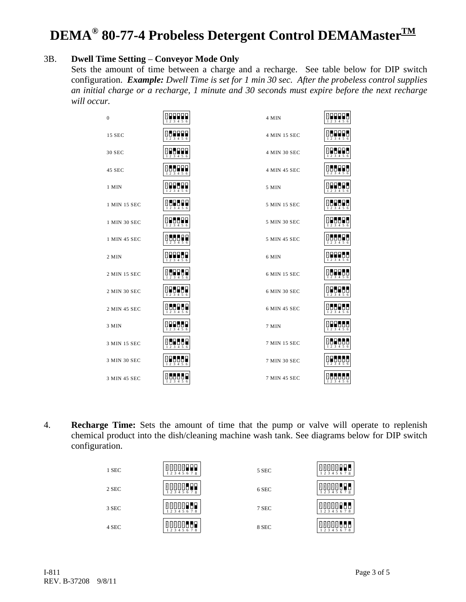### 3B. **Dwell Time Setting** – **Conveyor Mode Only**

Sets the amount of time between a charge and a recharge. See table below for DIP switch configuration. *Example: Dwell Time is set for 1 min 30 sec. After the probeless control supplies an initial charge or a recharge, 1 minute and 30 seconds must expire before the next recharge will occur.* 

| $\boldsymbol{0}$ | 899999<br>1 2 3 4 5 6                                                                                | 4 MIN        | <b>MARRIB</b><br>1 2 3 4 5 6                                                                 |
|------------------|------------------------------------------------------------------------------------------------------|--------------|----------------------------------------------------------------------------------------------|
| 15 SEC           | 89999<br>1 2 3 4 5 6                                                                                 | 4 MIN 15 SEC | $\begin{array}{c} 0 \\ 123456 \end{array}$                                                   |
| 30 SEC           | <b><i>MHLLL</i></b>                                                                                  | 4 MIN 30 SEC | 995<br>$\begin{array}{c} \n 0 \\ \hline\n 123456\n \end{array}$                              |
| 45 SEC           | $M$ <b>H</b> $\prod_{3}$ $M$ $5$ $6$                                                                 | 4 MIN 45 SEC | $M = 123456$                                                                                 |
| 1 MIN            | 1 2 3 4 5 6                                                                                          | 5 MIN        | 88<br>1 2 3 4 5 6                                                                            |
| 1 MIN 15 SEC     | $M = 123456$                                                                                         | 5 MIN 15 SEC | <b>MLLLLL</b><br>$1\overline{2}$ $\overline{3}$ $\overline{4}$ $\overline{5}$ $\overline{6}$ |
| 1 MIN 30 SEC     | $9 - 7$                                                                                              | 5 MIN 30 SEC | $N = 123456$                                                                                 |
| 1 MIN 45 SEC     | <b>MOOOLE</b><br>$\frac{1}{2}$ $\frac{1}{3}$ $\frac{1}{4}$ $\frac{1}{5}$ $\frac{1}{6}$               | 5 MIN 45 SEC | <b>MULLIL</b><br>1 2 3 4 5 6                                                                 |
| 2 MIN            | <b>MERLEH</b><br>$1\ 2\ 3\ 4\ 5\ 6$                                                                  | 6 MIN        | $N = 123456$                                                                                 |
| 2 MIN 15 SEC     | 0 B B B B B<br>1 2 3 4 5 6                                                                           | 6 MIN 15 SEC | <b>Maabaa</b><br>1 2 3 4 5 6                                                                 |
| 2 MIN 30 SEC     | 8886 B<br>1 2 3 4 5 6                                                                                | 6 MIN 30 SEC | $\frac{1}{2}$                                                                                |
| 2 MIN 45 SEC     | $M = 23456$                                                                                          | 6 MIN 45 SEC | M                                                                                            |
| 3 MIN            | 110<br>◨▮<br>1 2 3 4 5 6                                                                             | 7 MIN        | MHHH<br>66<br>1 2 3 4 5 6                                                                    |
| 3 MIN 15 SEC     | MLPLLP<br>1 2 3 4 5 6                                                                                | 7 MIN 15 SEC | $M = 1$                                                                                      |
| 3 MIN 30 SEC     | ХЕБЫН<br>$1\ 2\ 3\ 4\ 5\ 6$                                                                          | 7 MIN 30 SEC | $\frac{1}{2}$                                                                                |
| 3 MIN 45 SEC     | <b>MOOOOL</b><br>$\frac{1}{1}$ $\frac{1}{2}$ $\frac{1}{3}$ $\frac{1}{4}$ $\frac{1}{5}$ $\frac{1}{6}$ | 7 MIN 45 SEC | <b>MULLUL</b><br>1 2 3 4 5 6                                                                 |

4. **Recharge Time:** Sets the amount of time that the pump or valve will operate to replenish chemical product into the dish/cleaning machine wash tank. See diagrams below for DIP switch configuration.

| 1 SEC | <b>NNNNNH</b><br>2 3 4 5 6 7 8     | 5 SEC | MMMMM<br>1 2 3 4 5 6 7 8 |
|-------|------------------------------------|-------|--------------------------|
| 2 SEC | MMMMWHH<br>2 3 4 5 6 7 8           | 6 SEC | MMMM<br>1 2 3 4 5 6 7 8  |
| 3 SEC | <b>MAMMAFLE</b><br>1 2 3 4 5 6 7 8 | 7 SEC | 18<br>1 2 3 4 5 6 7 8    |
| 4 SEC | 'MMLLP<br>. M M<br>2 3 4 5 6 7 8   | 8 SEC | 1 2 3 4 5 6 7 8          |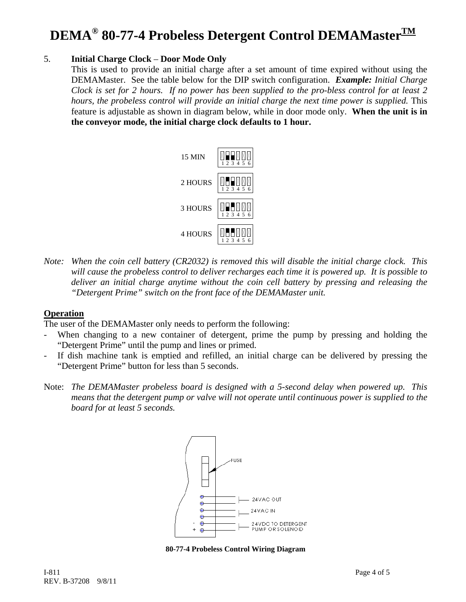### 5. **Initial Charge Clock** – **Door Mode Only**

This is used to provide an initial charge after a set amount of time expired without using the DEMAMaster. See the table below for the DIP switch configuration. *Example: Initial Charge Clock is set for 2 hours. If no power has been supplied to the pro-bless control for at least 2 hours, the probeless control will provide an initial charge the next time power is supplied.* This feature is adjustable as shown in diagram below, while in door mode only. **When the unit is in the conveyor mode, the initial charge clock defaults to 1 hour.** 



*Note: When the coin cell battery (CR2032) is removed this will disable the initial charge clock. This will cause the probeless control to deliver recharges each time it is powered up. It is possible to deliver an initial charge anytime without the coin cell battery by pressing and releasing the "Detergent Prime" switch on the front face of the DEMAMaster unit.* 

### **Operation**

The user of the DEMAMaster only needs to perform the following:

- When changing to a new container of detergent, prime the pump by pressing and holding the "Detergent Prime" until the pump and lines or primed.
- If dish machine tank is emptied and refilled, an initial charge can be delivered by pressing the "Detergent Prime" button for less than 5 seconds.
- Note: *The DEMAMaster probeless board is designed with a 5-second delay when powered up. This means that the detergent pump or valve will not operate until continuous power is supplied to the board for at least 5 seconds.*



**80-77-4 Probeless Control Wiring Diagram**